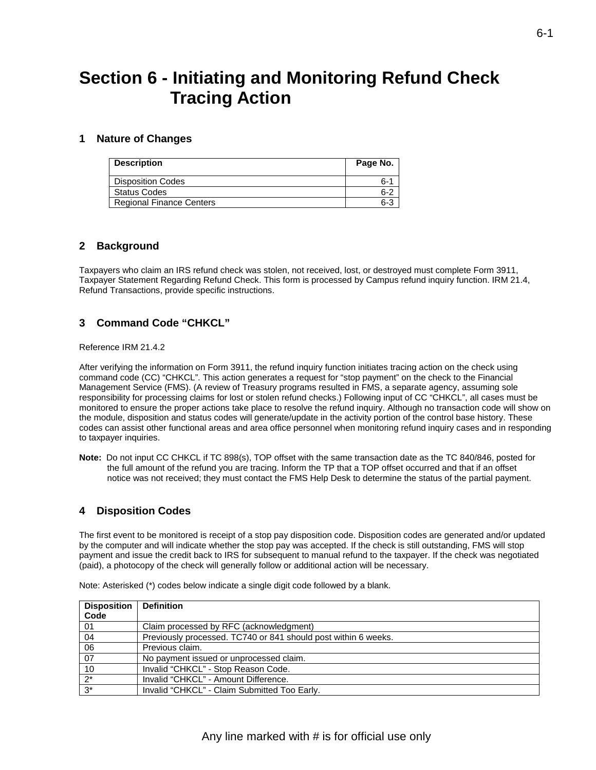# **Section 6 - Initiating and Monitoring Refund Check Tracing Action**

#### **1 Nature of Changes**

| <b>Description</b>              | Page No. |
|---------------------------------|----------|
| <b>Disposition Codes</b>        | հ-′      |
| <b>Status Codes</b>             | 6-2      |
| <b>Regional Finance Centers</b> | $6 - ?$  |

#### **2 Background**

 Taxpayer Statement Regarding Refund Check. This form is processed by Campus refund inquiry function. IRM 21.4, Taxpayers who claim an IRS refund check was stolen, not received, lost, or destroyed must complete Form 3911, Refund Transactions, provide specific instructions.

### **3 Command Code "CHKCL"**

Reference IRM 21.4.2

 responsibility for processing claims for lost or stolen refund checks.) Following input of CC "CHKCL", all cases must be the module, disposition and status codes will generate/update in the activity portion of the control base history. These After verifying the information on Form 3911, the refund inquiry function initiates tracing action on the check using command code (CC) "CHKCL". This action generates a request for "stop payment" on the check to the Financial Management Service (FMS). (A review of Treasury programs resulted in FMS, a separate agency, assuming sole monitored to ensure the proper actions take place to resolve the refund inquiry. Although no transaction code will show on codes can assist other functional areas and area office personnel when monitoring refund inquiry cases and in responding to taxpayer inquiries.

**Note:** Do not input CC CHKCL if TC 898(s), TOP offset with the same transaction date as the TC 840/846, posted for the full amount of the refund you are tracing. Inform the TP that a TOP offset occurred and that if an offset notice was not received; they must contact the FMS Help Desk to determine the status of the partial payment.

# **4 Disposition Codes**

 by the computer and will indicate whether the stop pay was accepted. If the check is still outstanding, FMS will stop The first event to be monitored is receipt of a stop pay disposition code. Disposition codes are generated and/or updated payment and issue the credit back to IRS for subsequent to manual refund to the taxpayer. If the check was negotiated (paid), a photocopy of the check will generally follow or additional action will be necessary.

| <b>Disposition</b> | <b>Definition</b>                                              |
|--------------------|----------------------------------------------------------------|
| Code               |                                                                |
| 01                 | Claim processed by RFC (acknowledgment)                        |
| 04                 | Previously processed. TC740 or 841 should post within 6 weeks. |
| 06                 | Previous claim.                                                |
| 07                 | No payment issued or unprocessed claim.                        |
| 10                 | Invalid "CHKCL" - Stop Reason Code.                            |
| $\overline{2^*}$   | Invalid "CHKCL" - Amount Difference.                           |
| $3^*$              | Invalid "CHKCL" - Claim Submitted Too Early.                   |

Note: Asterisked (\*) codes below indicate a single digit code followed by a blank.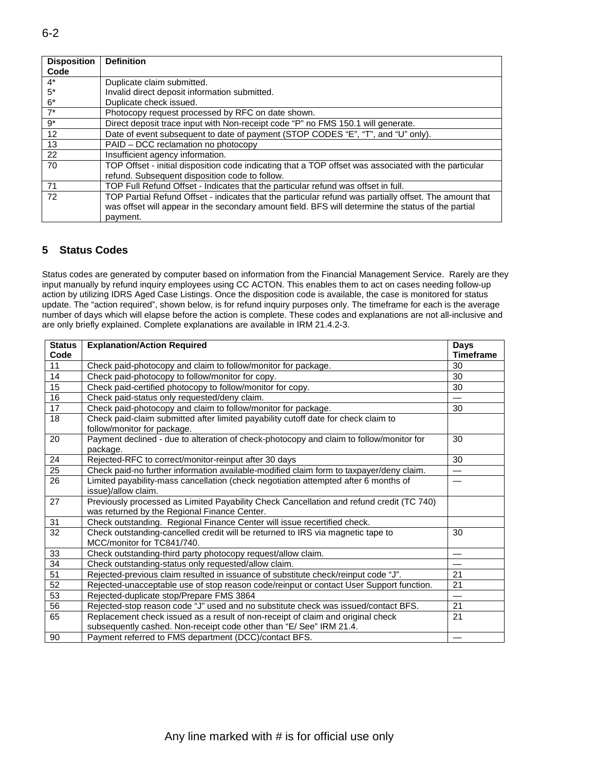| <b>Disposition</b> | <b>Definition</b>                                                                                      |
|--------------------|--------------------------------------------------------------------------------------------------------|
| Code               |                                                                                                        |
| $4^*$              | Duplicate claim submitted.                                                                             |
| $5*$               | Invalid direct deposit information submitted.                                                          |
| $6*$               | Duplicate check issued.                                                                                |
| $7^*$              | Photocopy request processed by RFC on date shown.                                                      |
| $9^*$              | Direct deposit trace input with Non-receipt code "P" no FMS 150.1 will generate.                       |
| 12                 | Date of event subsequent to date of payment (STOP CODES "E", "T", and "U" only).                       |
| 13                 | PAID - DCC reclamation no photocopy                                                                    |
| 22                 | Insufficient agency information.                                                                       |
| 70                 | TOP Offset - initial disposition code indicating that a TOP offset was associated with the particular  |
|                    | refund. Subsequent disposition code to follow.                                                         |
| 71                 | TOP Full Refund Offset - Indicates that the particular refund was offset in full.                      |
| 72                 | TOP Partial Refund Offset - indicates that the particular refund was partially offset. The amount that |
|                    | was offset will appear in the secondary amount field. BFS will determine the status of the partial     |
|                    | payment.                                                                                               |

# **5 Status Codes**

 action by utilizing IDRS Aged Case Listings. Once the disposition code is available, the case is monitored for status Status codes are generated by computer based on information from the Financial Management Service. Rarely are they input manually by refund inquiry employees using CC ACTON. This enables them to act on cases needing follow-up update. The "action required", shown below, is for refund inquiry purposes only. The timeframe for each is the average number of days which will elapse before the action is complete. These codes and explanations are not all-inclusive and are only briefly explained. Complete explanations are available in IRM 21.4.2-3.

| <b>Status</b><br>Code | <b>Explanation/Action Required</b>                                                       | <b>Days</b><br><b>Timeframe</b> |
|-----------------------|------------------------------------------------------------------------------------------|---------------------------------|
| 11                    | Check paid-photocopy and claim to follow/monitor for package.                            | 30                              |
| 14                    | Check paid-photocopy to follow/monitor for copy.                                         |                                 |
| 15                    | Check paid-certified photocopy to follow/monitor for copy.                               |                                 |
| 16                    | Check paid-status only requested/deny claim.                                             |                                 |
| 17                    | 30<br>Check paid-photocopy and claim to follow/monitor for package.                      |                                 |
| 18                    | Check paid-claim submitted after limited payability cutoff date for check claim to       |                                 |
|                       | follow/monitor for package.                                                              |                                 |
| 20                    | Payment declined - due to alteration of check-photocopy and claim to follow/monitor for  | 30                              |
|                       | package.                                                                                 |                                 |
| 24                    | Rejected-RFC to correct/monitor-reinput after 30 days                                    | 30                              |
| $\overline{25}$       | Check paid-no further information available-modified claim form to taxpayer/deny claim.  | $\overline{\phantom{0}}$        |
| 26                    | Limited payability-mass cancellation (check negotiation attempted after 6 months of      |                                 |
|                       | issue)/allow claim.                                                                      |                                 |
| 27                    | Previously processed as Limited Payability Check Cancellation and refund credit (TC 740) |                                 |
|                       | was returned by the Regional Finance Center.                                             |                                 |
| 31                    | Check outstanding. Regional Finance Center will issue recertified check.                 |                                 |
| 32                    | Check outstanding-cancelled credit will be returned to IRS via magnetic tape to          | 30                              |
|                       | MCC/monitor for TC841/740.                                                               |                                 |
| 33                    | Check outstanding-third party photocopy request/allow claim.                             |                                 |
| 34                    | Check outstanding-status only requested/allow claim.                                     |                                 |
| $\overline{51}$       | Rejected-previous claim resulted in issuance of substitute check/reinput code "J".       | 21                              |
| 52                    | Rejected-unacceptable use of stop reason code/reinput or contact User Support function.  | 21                              |
| 53                    | Rejected-duplicate stop/Prepare FMS 3864                                                 |                                 |
| 56                    | Rejected-stop reason code "J" used and no substitute check was issued/contact BFS.       | 21                              |
| 65                    | Replacement check issued as a result of non-receipt of claim and original check          | 21                              |
|                       | subsequently cashed. Non-receipt code other than "E/ See" IRM 21.4.                      |                                 |
| 90                    | Payment referred to FMS department (DCC)/contact BFS.                                    |                                 |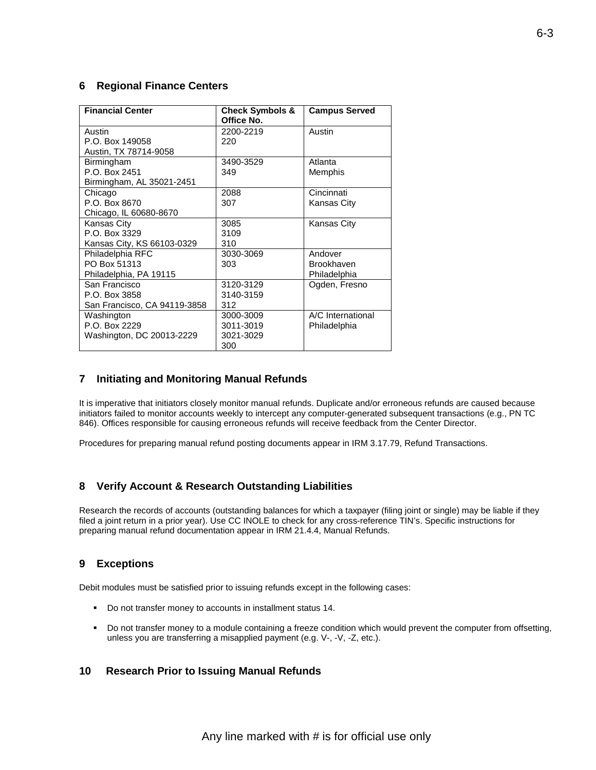### **6 Regional Finance Centers**

| <b>Financial Center</b>      | <b>Check Symbols &amp;</b><br>Office No. | <b>Campus Served</b> |
|------------------------------|------------------------------------------|----------------------|
| Austin                       | 2200-2219                                | Austin               |
| P.O. Box 149058              | 220                                      |                      |
| Austin, TX 78714-9058        |                                          |                      |
| Birmingham                   | 3490-3529                                | Atlanta              |
| P.O. Box 2451                | 349                                      | Memphis              |
| Birmingham, AL 35021-2451    |                                          |                      |
| Chicago                      | 2088                                     | Cincinnati           |
| P.O. Box 8670                | 307                                      | Kansas City          |
| Chicago, IL 60680-8670       |                                          |                      |
| Kansas City                  | 3085                                     | <b>Kansas City</b>   |
| P.O. Box 3329                | 3109                                     |                      |
| Kansas City, KS 66103-0329   | 310                                      |                      |
| Philadelphia RFC             | 3030-3069                                | Andover              |
| PO Box 51313                 | 303                                      | <b>Brookhaven</b>    |
| Philadelphia, PA 19115       |                                          | Philadelphia         |
| San Francisco                | 3120-3129                                | Ogden, Fresno        |
| P.O. Box 3858                | 3140-3159                                |                      |
| San Francisco, CA 94119-3858 | 312                                      |                      |
| Washington                   | 3000-3009                                | A/C International    |
| P.O. Box 2229                | 3011-3019                                | Philadelphia         |
| Washington, DC 20013-2229    | 3021-3029                                |                      |
|                              | 300                                      |                      |

### **7 Initiating and Monitoring Manual Refunds**

 It is imperative that initiators closely monitor manual refunds. Duplicate and/or erroneous refunds are caused because initiators failed to monitor accounts weekly to intercept any computer-generated subsequent transactions (e.g., PN TC 846). Offices responsible for causing erroneous refunds will receive feedback from the Center Director.

Procedures for preparing manual refund posting documents appear in IRM 3.17.79, Refund Transactions.

# **8 Verify Account & Research Outstanding Liabilities**

 Research the records of accounts (outstanding balances for which a taxpayer (filing joint or single) may be liable if they filed a joint return in a prior year). Use CC INOLE to check for any cross-reference TIN's. Specific instructions for preparing manual refund documentation appear in IRM 21.4.4, Manual Refunds.

# **9 Exceptions**

Debit modules must be satisfied prior to issuing refunds except in the following cases:

- Do not transfer money to accounts in installment status 14.
- Do not transfer money to a module containing a freeze condition which would prevent the computer from offsetting, unless you are transferring a misapplied payment (e.g. V-, -V, -Z, etc.).

#### $10$ **10 Research Prior to Issuing Manual Refunds**